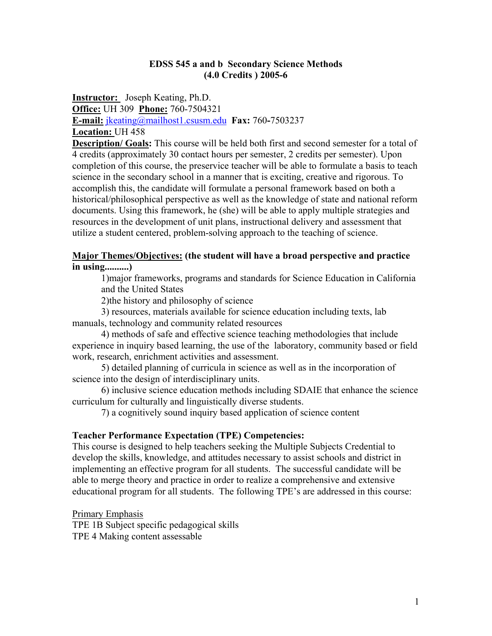#### **EDSS 545 a and b Secondary Science Methods (4.0 Credits ) 2005-6**

**Instructor:** Joseph Keating, Ph.D. **Office:** UH 309 **Phone:** 760-7504321 **E-mail:** jkeating@mailhost1.csusm.edu **Fax:** 760**-**7503237 **Location:** UH 458

**Description/ Goals:** This course will be held both first and second semester for a total of 4 credits (approximately 30 contact hours per semester, 2 credits per semester). Upon completion of this course, the preservice teacher will be able to formulate a basis to teach science in the secondary school in a manner that is exciting, creative and rigorous. To accomplish this, the candidate will formulate a personal framework based on both a historical/philosophical perspective as well as the knowledge of state and national reform documents. Using this framework, he (she) will be able to apply multiple strategies and resources in the development of unit plans, instructional delivery and assessment that utilize a student centered, problem-solving approach to the teaching of science.

#### **Major Themes/Objectives: (the student will have a broad perspective and practice in using..........)**

1)major frameworks, programs and standards for Science Education in California and the United States

2)the history and philosophy of science

 3) resources, materials available for science education including texts, lab manuals, technology and community related resources

 4) methods of safe and effective science teaching methodologies that include experience in inquiry based learning, the use of the laboratory, community based or field work, research, enrichment activities and assessment.

 5) detailed planning of curricula in science as well as in the incorporation of science into the design of interdisciplinary units.

 6) inclusive science education methods including SDAIE that enhance the science curriculum for culturally and linguistically diverse students.

7) a cognitively sound inquiry based application of science content

#### **Teacher Performance Expectation (TPE) Competencies:**

This course is designed to help teachers seeking the Multiple Subjects Credential to develop the skills, knowledge, and attitudes necessary to assist schools and district in implementing an effective program for all students. The successful candidate will be able to merge theory and practice in order to realize a comprehensive and extensive educational program for all students. The following TPE's are addressed in this course:

Primary Emphasis

TPE 1B Subject specific pedagogical skills TPE 4 Making content assessable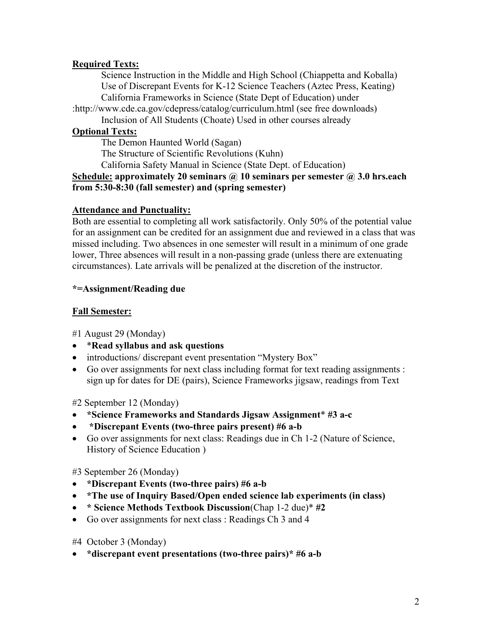## **Required Texts:**

Science Instruction in the Middle and High School (Chiappetta and Koballa) Use of Discrepant Events for K-12 Science Teachers (Aztec Press, Keating) California Frameworks in Science (State Dept of Education) under

:http://www.cde.ca.gov/cdepress/catalog/curriculum.html (see free downloads)

Inclusion of All Students (Choate) Used in other courses already

# **Optional Texts:**

The Demon Haunted World (Sagan)

The Structure of Scientific Revolutions (Kuhn)

California Safety Manual in Science (State Dept. of Education)

### **Schedule: approximately 20 seminars @ 10 seminars per semester @ 3.0 hrs.each from 5:30-8:30 (fall semester) and (spring semester)**

### **Attendance and Punctuality:**

Both are essential to completing all work satisfactorily. Only 50% of the potential value for an assignment can be credited for an assignment due and reviewed in a class that was missed including. Two absences in one semester will result in a minimum of one grade lower, Three absences will result in a non-passing grade (unless there are extenuating circumstances). Late arrivals will be penalized at the discretion of the instructor.

## **\*=Assignment/Reading due**

# **Fall Semester:**

#1 August 29 (Monday)

- \***Read syllabus and ask questions**
- introductions/ discrepant event presentation "Mystery Box"
- Go over assignments for next class including format for text reading assignments : sign up for dates for DE (pairs), Science Frameworks jigsaw, readings from Text

#2 September 12 (Monday)

- **\*Science Frameworks and Standards Jigsaw Assignment**\* **#3 a-c**
- • **\*Discrepant Events (two-three pairs present) #6 a-b**
- Go over assignments for next class: Readings due in Ch 1-2 (Nature of Science, History of Science Education )

#3 September 26 (Monday)

- **\*Discrepant Events (two-three pairs) #6 a-b**
- **\*The use of Inquiry Based/Open ended science lab experiments (in class)**
- **\* Science Methods Textbook Discussion**(Chap 1-2 due)\* **#2**
- Go over assignments for next class : Readings Ch 3 and 4

#4 October 3 (Monday)

• **\*discrepant event presentations (two-three pairs)\* #6 a-b**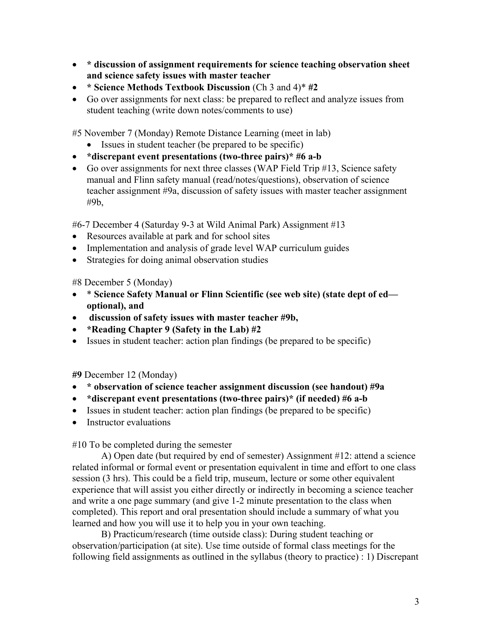- **\* discussion of assignment requirements for science teaching observation sheet and science safety issues with master teacher**
- **\* Science Methods Textbook Discussion** (Ch 3 and 4)\* **#2**
- Go over assignments for next class: be prepared to reflect and analyze issues from student teaching (write down notes/comments to use)

#5 November 7 (Monday) Remote Distance Learning (meet in lab)

- Issues in student teacher (be prepared to be specific)
- **\*discrepant event presentations (two-three pairs)\* #6 a-b**
- Go over assignments for next three classes (WAP Field Trip #13, Science safety manual and Flinn safety manual (read/notes/questions), observation of science teacher assignment #9a, discussion of safety issues with master teacher assignment #9b,

#6-7 December 4 (Saturday 9-3 at Wild Animal Park) Assignment #13

- Resources available at park and for school sites
- Implementation and analysis of grade level WAP curriculum guides
- Strategies for doing animal observation studies

#8 December 5 (Monday)

- \* **Science Safety Manual or Flinn Scientific (see web site) (state dept of ed optional), and**
- • **discussion of safety issues with master teacher #9b,**
- **\*Reading Chapter 9 (Safety in the Lab) #2**
- Issues in student teacher: action plan findings (be prepared to be specific)

**#9** December 12 (Monday)

- **\* observation of science teacher assignment discussion (see handout) #9a**
- **\*discrepant event presentations (two-three pairs)\* (if needed) #6 a-b**
- Issues in student teacher: action plan findings (be prepared to be specific)
- Instructor evaluations

#10 To be completed during the semester

A) Open date (but required by end of semester) Assignment #12: attend a science related informal or formal event or presentation equivalent in time and effort to one class session (3 hrs). This could be a field trip, museum, lecture or some other equivalent experience that will assist you either directly or indirectly in becoming a science teacher and write a one page summary (and give 1-2 minute presentation to the class when completed). This report and oral presentation should include a summary of what you learned and how you will use it to help you in your own teaching.

B) Practicum/research (time outside class): During student teaching or observation/participation (at site). Use time outside of formal class meetings for the following field assignments as outlined in the syllabus (theory to practice) : 1) Discrepant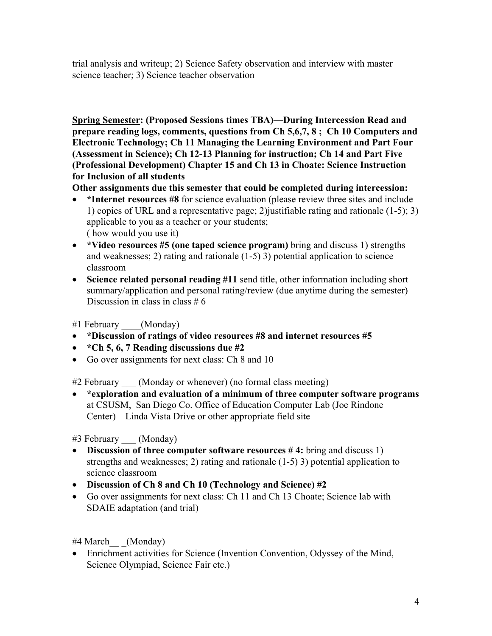trial analysis and writeup; 2) Science Safety observation and interview with master science teacher; 3) Science teacher observation

**Spring Semester: (Proposed Sessions times TBA)—During Intercession Read and prepare reading logs, comments, questions from Ch 5,6,7, 8 ; Ch 10 Computers and Electronic Technology; Ch 11 Managing the Learning Environment and Part Four (Assessment in Science); Ch 12-13 Planning for instruction; Ch 14 and Part Five (Professional Development) Chapter 15 and Ch 13 in Choate: Science Instruction for Inclusion of all students** 

**Other assignments due this semester that could be completed during intercession:** 

- \*Internet resources #8 for science evaluation (please review three sites and include 1) copies of URL and a representative page; 2)justifiable rating and rationale (1-5); 3) applicable to you as a teacher or your students; ( how would you use it)
- **\*Video resources #5 (one taped science program)** bring and discuss 1) strengths and weaknesses; 2) rating and rationale (1-5) 3) potential application to science classroom
- **Science related personal reading #11** send title, other information including short summary/application and personal rating/review (due anytime during the semester) Discussion in class in class  $# 6$

#1 February \_\_\_\_(Monday)

- **\*Discussion of ratings of video resources #8 and internet resources #5**
- **\*Ch 5, 6, 7 Reading discussions due #2**
- Go over assignments for next class: Ch 8 and 10

#2 February (Monday or whenever) (no formal class meeting)

• **\*exploration and evaluation of a minimum of three computer software programs** at CSUSM, San Diego Co. Office of Education Computer Lab (Joe Rindone Center)—Linda Vista Drive or other appropriate field site

#3 February \_\_\_ (Monday)

- **Discussion of three computer software resources # 4:** bring and discuss 1) strengths and weaknesses; 2) rating and rationale (1-5) 3) potential application to science classroom
- **Discussion of Ch 8 and Ch 10 (Technology and Science) #2**
- Go over assignments for next class: Ch 11 and Ch 13 Choate; Science lab with SDAIE adaptation (and trial)

#4 March\_\_ \_(Monday)

• Enrichment activities for Science (Invention Convention, Odyssey of the Mind, Science Olympiad, Science Fair etc.)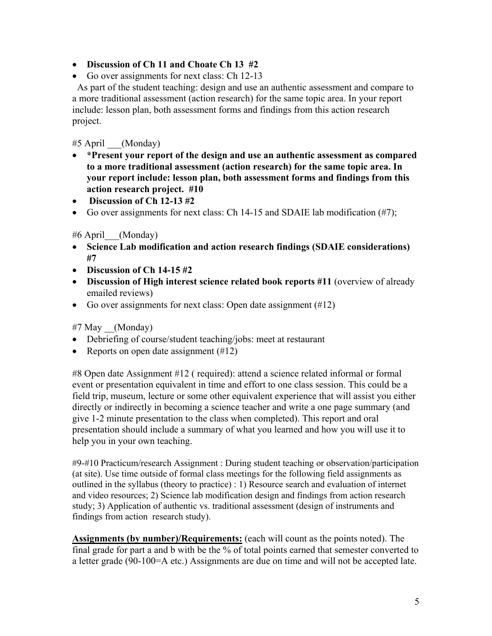- **Discussion of Ch 11 and Choate Ch 13 #2**
- Go over assignments for next class: Ch 12-13

 As part of the student teaching: design and use an authentic assessment and compare to a more traditional assessment (action research) for the same topic area. In your report include: lesson plan, both assessment forms and findings from this action research project.

#5 April \_\_\_(Monday)

- **\*Present your report of the design and use an authentic assessment as compared to a more traditional assessment (action research) for the same topic area. In your report include: lesson plan, both assessment forms and findings from this action research project. #10**
- **Discussion of Ch 12-13 #2**
- Go over assignments for next class: Ch 14-15 and SDAIE lab modification  $(\#7)$ ;

# #6 April\_\_\_(Monday)

- **Science Lab modification and action research findings (SDAIE considerations) #7**
- **Discussion of Ch 14-15 #2**
- **Discussion of High interest science related book reports #11** (overview of already emailed reviews)
- Go over assignments for next class: Open date assignment (#12)

#7 May \_\_(Monday)

- Debriefing of course/student teaching/jobs: meet at restaurant
- Reports on open date assignment  $(\#12)$

#8 Open date Assignment #12 ( required): attend a science related informal or formal event or presentation equivalent in time and effort to one class session. This could be a field trip, museum, lecture or some other equivalent experience that will assist you either directly or indirectly in becoming a science teacher and write a one page summary (and give 1-2 minute presentation to the class when completed). This report and oral presentation should include a summary of what you learned and how you will use it to help you in your own teaching.

#9-#10 Practicum/research Assignment : During student teaching or observation/participation (at site). Use time outside of formal class meetings for the following field assignments as outlined in the syllabus (theory to practice) : 1) Resource search and evaluation of internet and video resources; 2) Science lab modification design and findings from action research study; 3) Application of authentic vs. traditional assessment (design of instruments and findings from action research study).

**Assignments (by number)/Requirements:** (each will count as the points noted). The final grade for part a and b with be the % of total points earned that semester converted to a letter grade (90-100=A etc.) Assignments are due on time and will not be accepted late.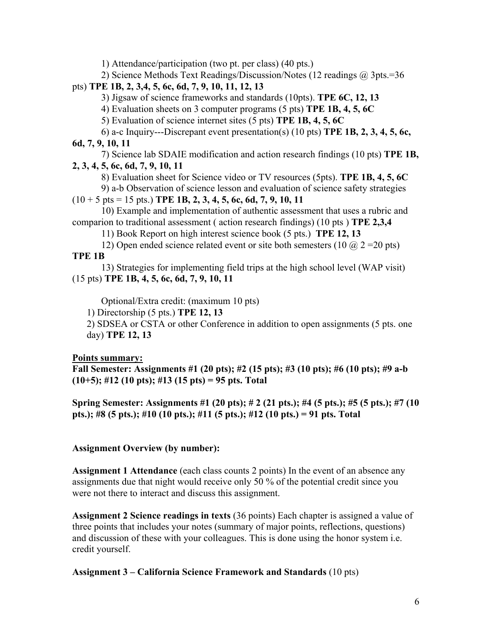1) Attendance/participation (two pt. per class) (40 pts.)

2) Science Methods Text Readings/Discussion/Notes (12 readings @ 3pts.=36

## pts) **TPE 1B, 2, 3,4, 5, 6c, 6d, 7, 9, 10, 11, 12, 13**

3) Jigsaw of science frameworks and standards (10pts). **TPE 6C, 12, 13** 

4) Evaluation sheets on 3 computer programs (5 pts) **TPE 1B, 4, 5, 6C** 

5) Evaluation of science internet sites (5 pts) **TPE 1B, 4, 5, 6C**

 6) a-c Inquiry---Discrepant event presentation(s) (10 pts) **TPE 1B, 2, 3, 4, 5, 6c, 6d, 7, 9, 10, 11** 

 7) Science lab SDAIE modification and action research findings (10 pts) **TPE 1B, 2, 3, 4, 5, 6c, 6d, 7, 9, 10, 11** 

8) Evaluation sheet for Science video or TV resources (5pts). **TPE 1B, 4, 5, 6C** 

9) a-b Observation of science lesson and evaluation of science safety strategies

 $(10 + 5 \text{ pts} = 15 \text{ pts.})$  **TPE 1B, 2, 3, 4, 5, 6c, 6d, 7, 9, 10, 11** 

 10) Example and implementation of authentic assessment that uses a rubric and comparion to traditional assessment ( action research findings) (10 pts ) **TPE 2,3,4** 

11) Book Report on high interest science book (5 pts.) **TPE 12, 13** 

12) Open ended science related event or site both semesters (10  $\omega$  2 = 20 pts) **TPE 1B** 

 13) Strategies for implementing field trips at the high school level (WAP visit) (15 pts) **TPE 1B, 4, 5, 6c, 6d, 7, 9, 10, 11** 

Optional/Extra credit: (maximum 10 pts)

1) Directorship (5 pts.) **TPE 12, 13**

2) SDSEA or CSTA or other Conference in addition to open assignments (5 pts. one day) **TPE 12, 13** 

# **Points summary:**

**Fall Semester: Assignments #1 (20 pts); #2 (15 pts); #3 (10 pts); #6 (10 pts); #9 a-b (10+5); #12 (10 pts); #13 (15 pts) = 95 pts. Total** 

**Spring Semester: Assignments #1 (20 pts); # 2 (21 pts.); #4 (5 pts.); #5 (5 pts.); #7 (10 pts.); #8 (5 pts.); #10 (10 pts.); #11 (5 pts.); #12 (10 pts.) = 91 pts. Total** 

# **Assignment Overview (by number):**

**Assignment 1 Attendance** (each class counts 2 points) In the event of an absence any assignments due that night would receive only 50 % of the potential credit since you were not there to interact and discuss this assignment.

**Assignment 2 Science readings in texts** (36 points) Each chapter is assigned a value of three points that includes your notes (summary of major points, reflections, questions) and discussion of these with your colleagues. This is done using the honor system i.e. credit yourself.

# **Assignment 3 – California Science Framework and Standards** (10 pts)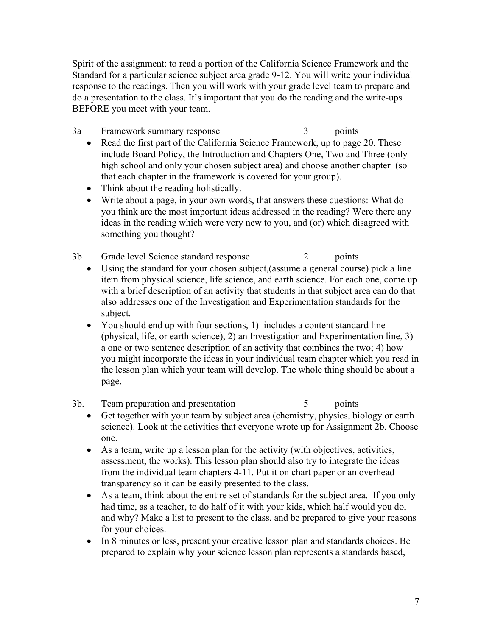Spirit of the assignment: to read a portion of the California Science Framework and the Standard for a particular science subject area grade 9-12. You will write your individual response to the readings. Then you will work with your grade level team to prepare and do a presentation to the class. It's important that you do the reading and the write-ups BEFORE you meet with your team.

- 3a Framework summary response 3 points
	- Read the first part of the California Science Framework, up to page 20. These include Board Policy, the Introduction and Chapters One, Two and Three (only high school and only your chosen subject area) and choose another chapter (so that each chapter in the framework is covered for your group).
	- Think about the reading holistically.
	- Write about a page, in your own words, that answers these questions: What do you think are the most important ideas addressed in the reading? Were there any ideas in the reading which were very new to you, and (or) which disagreed with something you thought?
- 3b Grade level Science standard response 2 points
	- Using the standard for your chosen subject, (assume a general course) pick a line item from physical science, life science, and earth science. For each one, come up with a brief description of an activity that students in that subject area can do that also addresses one of the Investigation and Experimentation standards for the subject.
	- You should end up with four sections, 1) includes a content standard line (physical, life, or earth science), 2) an Investigation and Experimentation line, 3) a one or two sentence description of an activity that combines the two; 4) how you might incorporate the ideas in your individual team chapter which you read in the lesson plan which your team will develop. The whole thing should be about a page.
- 3b. Team preparation and presentation 5 points
	- Get together with your team by subject area (chemistry, physics, biology or earth science). Look at the activities that everyone wrote up for Assignment 2b. Choose one.
	- As a team, write up a lesson plan for the activity (with objectives, activities, assessment, the works). This lesson plan should also try to integrate the ideas from the individual team chapters 4-11. Put it on chart paper or an overhead transparency so it can be easily presented to the class.
	- As a team, think about the entire set of standards for the subject area. If you only had time, as a teacher, to do half of it with your kids, which half would you do, and why? Make a list to present to the class, and be prepared to give your reasons for your choices.
	- In 8 minutes or less, present your creative lesson plan and standards choices. Be prepared to explain why your science lesson plan represents a standards based,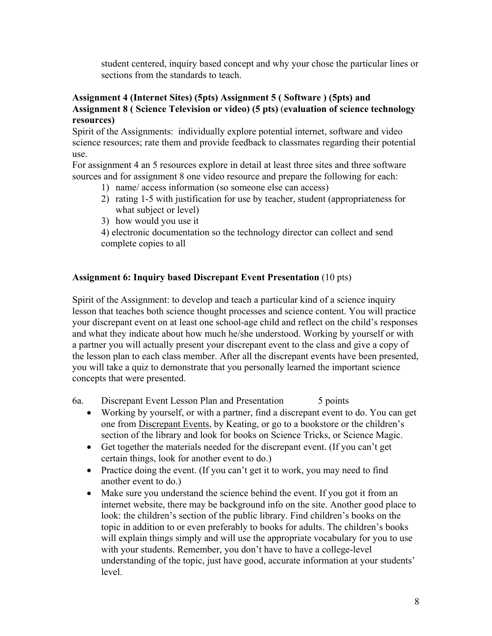student centered, inquiry based concept and why your chose the particular lines or sections from the standards to teach.

### **Assignment 4 (Internet Sites) (5pts) Assignment 5 ( Software ) (5pts) and Assignment 8 ( Science Television or video) (5 pts)** (**evaluation of science technology resources)**

Spirit of the Assignments: individually explore potential internet, software and video science resources; rate them and provide feedback to classmates regarding their potential use.

For assignment 4 an 5 resources explore in detail at least three sites and three software sources and for assignment 8 one video resource and prepare the following for each:

- 1) name/ access information (so someone else can access)
- 2) rating 1-5 with justification for use by teacher, student (appropriateness for what subject or level)
- 3) how would you use it

4) electronic documentation so the technology director can collect and send complete copies to all

# **Assignment 6: Inquiry based Discrepant Event Presentation** (10 pts)

Spirit of the Assignment: to develop and teach a particular kind of a science inquiry lesson that teaches both science thought processes and science content. You will practice your discrepant event on at least one school-age child and reflect on the child's responses and what they indicate about how much he/she understood. Working by yourself or with a partner you will actually present your discrepant event to the class and give a copy of the lesson plan to each class member. After all the discrepant events have been presented, you will take a quiz to demonstrate that you personally learned the important science concepts that were presented.

6a. Discrepant Event Lesson Plan and Presentation 5 points

- Working by yourself, or with a partner, find a discrepant event to do. You can get one from Discrepant Events, by Keating, or go to a bookstore or the children's section of the library and look for books on Science Tricks, or Science Magic.
- Get together the materials needed for the discrepant event. (If you can't get certain things, look for another event to do.)
- Practice doing the event. (If you can't get it to work, you may need to find another event to do.)
- Make sure you understand the science behind the event. If you got it from an internet website, there may be background info on the site. Another good place to look: the children's section of the public library. Find children's books on the topic in addition to or even preferably to books for adults. The children's books will explain things simply and will use the appropriate vocabulary for you to use with your students. Remember, you don't have to have a college-level understanding of the topic, just have good, accurate information at your students' level.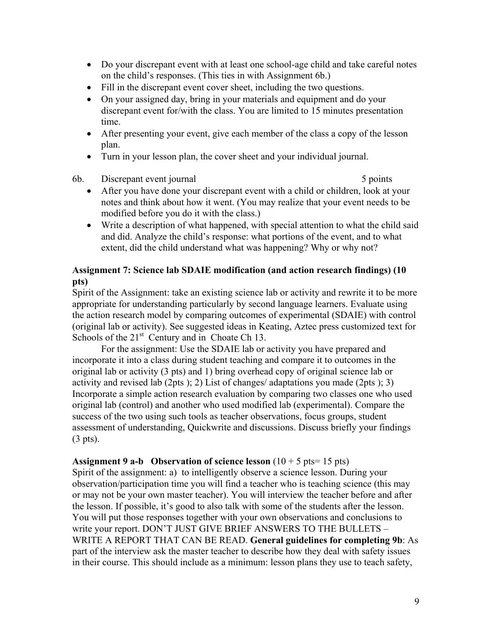- Do your discrepant event with at least one school-age child and take careful notes on the child's responses. (This ties in with Assignment 6b.)
- Fill in the discrepant event cover sheet, including the two questions.
- On your assigned day, bring in your materials and equipment and do your discrepant event for/with the class. You are limited to 15 minutes presentation time.
- After presenting your event, give each member of the class a copy of the lesson plan.
- Turn in your lesson plan, the cover sheet and your individual journal.
- 6b. Discrepant event journal 5 points 5 points

- After you have done your discrepant event with a child or children, look at your notes and think about how it went. (You may realize that your event needs to be modified before you do it with the class.)
- Write a description of what happened, with special attention to what the child said and did. Analyze the child's response: what portions of the event, and to what extent, did the child understand what was happening? Why or why not?

### **Assignment 7: Science lab SDAIE modification (and action research findings) (10 pts)**

Spirit of the Assignment: take an existing science lab or activity and rewrite it to be more appropriate for understanding particularly by second language learners. Evaluate using the action research model by comparing outcomes of experimental (SDAIE) with control (original lab or activity). See suggested ideas in Keating, Aztec press customized text for Schools of the  $21<sup>st</sup>$  Century and in Choate Ch 13.

For the assignment: Use the SDAIE lab or activity you have prepared and incorporate it into a class during student teaching and compare it to outcomes in the original lab or activity (3 pts) and 1) bring overhead copy of original science lab or activity and revised lab (2pts ); 2) List of changes/ adaptations you made (2pts ); 3) Incorporate a simple action research evaluation by comparing two classes one who used original lab (control) and another who used modified lab (experimental). Compare the success of the two using such tools as teacher observations, focus groups, student assessment of understanding, Quickwrite and discussions. Discuss briefly your findings (3 pts).

## **Assignment 9 a-b** Observation of science lesson  $(10 + 5 \text{ pts} = 15 \text{ pts})$

Spirit of the assignment: a) to intelligently observe a science lesson. During your observation/participation time you will find a teacher who is teaching science (this may or may not be your own master teacher). You will interview the teacher before and after the lesson. If possible, it's good to also talk with some of the students after the lesson. You will put those responses together with your own observations and conclusions to write your report. DON'T JUST GIVE BRIEF ANSWERS TO THE BULLETS – WRITE A REPORT THAT CAN BE READ. **General guidelines for completing 9b**: As part of the interview ask the master teacher to describe how they deal with safety issues in their course. This should include as a minimum: lesson plans they use to teach safety,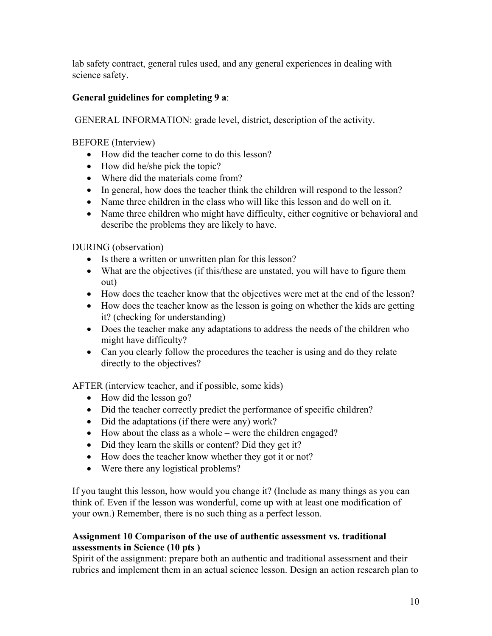lab safety contract, general rules used, and any general experiences in dealing with science safety.

# **General guidelines for completing 9 a**:

GENERAL INFORMATION: grade level, district, description of the activity.

BEFORE (Interview)

- How did the teacher come to do this lesson?
- How did he/she pick the topic?
- Where did the materials come from?
- In general, how does the teacher think the children will respond to the lesson?
- Name three children in the class who will like this lesson and do well on it.
- Name three children who might have difficulty, either cognitive or behavioral and describe the problems they are likely to have.

DURING (observation)

- Is there a written or unwritten plan for this lesson?
- What are the objectives (if this/these are unstated, you will have to figure them out)
- How does the teacher know that the objectives were met at the end of the lesson?
- How does the teacher know as the lesson is going on whether the kids are getting it? (checking for understanding)
- Does the teacher make any adaptations to address the needs of the children who might have difficulty?
- Can you clearly follow the procedures the teacher is using and do they relate directly to the objectives?

AFTER (interview teacher, and if possible, some kids)

- How did the lesson go?
- Did the teacher correctly predict the performance of specific children?
- Did the adaptations (if there were any) work?
- How about the class as a whole were the children engaged?
- Did they learn the skills or content? Did they get it?
- How does the teacher know whether they got it or not?
- Were there any logistical problems?

If you taught this lesson, how would you change it? (Include as many things as you can think of. Even if the lesson was wonderful, come up with at least one modification of your own.) Remember, there is no such thing as a perfect lesson.

### **Assignment 10 Comparison of the use of authentic assessment vs. traditional assessments in Science (10 pts )**

Spirit of the assignment: prepare both an authentic and traditional assessment and their rubrics and implement them in an actual science lesson. Design an action research plan to